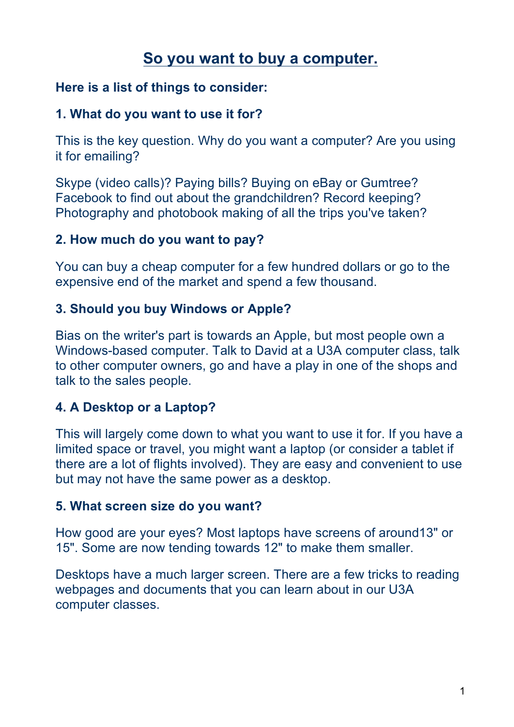# **So you want to buy a computer.**

### **Here is a list of things to consider:**

### **1. What do you want to use it for?**

This is the key question. Why do you want a computer? Are you using it for emailing?

Skype (video calls)? Paying bills? Buying on eBay or Gumtree? Facebook to find out about the grandchildren? Record keeping? Photography and photobook making of all the trips you've taken?

### **2. How much do you want to pay?**

You can buy a cheap computer for a few hundred dollars or go to the expensive end of the market and spend a few thousand.

### **3. Should you buy Windows or Apple?**

Bias on the writer's part is towards an Apple, but most people own a Windows-based computer. Talk to David at a U3A computer class, talk to other computer owners, go and have a play in one of the shops and talk to the sales people.

# **4. A Desktop or a Laptop?**

This will largely come down to what you want to use it for. If you have a limited space or travel, you might want a laptop (or consider a tablet if there are a lot of flights involved). They are easy and convenient to use but may not have the same power as a desktop.

#### **5. What screen size do you want?**

How good are your eyes? Most laptops have screens of around13" or 15". Some are now tending towards 12" to make them smaller.

Desktops have a much larger screen. There are a few tricks to reading webpages and documents that you can learn about in our U3A computer classes.